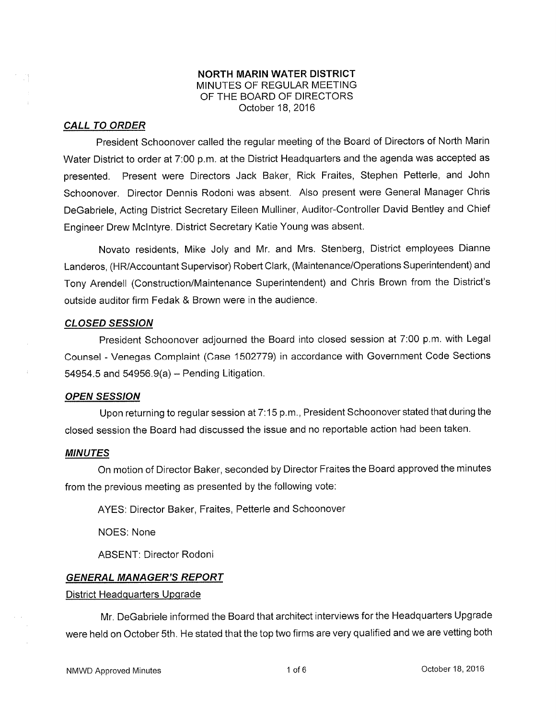# NORTH MARIN WATER DISTRICT MINUTES OF REGULAR MEETING OF THE BOARD OF DIRECTORS October 18,2016

## CALL TO ORDER

President Schoonover called the regular meeting of the Board of Directors of North Marin Water District to order at 7:00 p.m. at the District Headquarters and the agenda was accepted as presented. Present were Directors Jack Baker, Rick Fraites, Stephen Petterle, and John Schoonover. Director Dennis Rodoni was absent. Also present were General Manager Chris DeGabriele, Acting District Secretary Eileen Mulliner, Auditor-Controller David Bentley and Chief Engineer Drew Mclntyre. District Secretary Katie Young was absent.

Novato residents, Mike Joly and Mr. and Mrs. Stenberg, District employees Dianne Landeros, (HR/Accountant Supervisor) Robert Clark, (Maintenance/Operations Superintendent) and Tony Arendell (Construction/Maintenance Superintendent) and Chris Brown from the District's outside auditor firm Fedak & Brown were in the audience.

## CLOSED SESSION

President Schoonover adjourned the Board into closed session at 7:00 p.m. with Legal Counsel - Venegas Complaint (Case 1502779) in accordance with Government Code Sections  $54954.5$  and  $54956.9(a)$  – Pending Litigation.

## **OPEN SESSION**

Upon returning to regular session at 7:15 p.m., President Schoonover stated that during the closed session the Board had discussed the issue and no reporlable action had been taken.

## MINUTES

On motion of Director Baker, seconded by Director Fraites the Board approved the minutes from the previous meeting as presented by the following vote:

AYES: Director Baker, Fraites, Petterle and Schoonover

NOES: None

ABSENT: Director Rodoni

## GENERAL MANAGER'S REPORT

## District Headquarters Upgrade

Mr. DeGabriele informed the Board that architect interviews for the Headquarters Upgrade were held on October 5th. He stated that the top two firms are very qualified and we are vetting both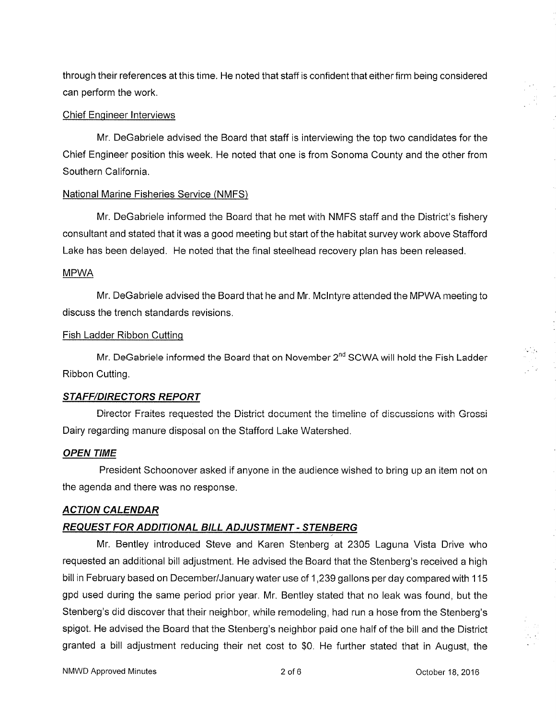through their references at this time. He noted that staff is confident that either firm being considered can perform the work.

# Chief Enqineer lnterviews

Mr. DeGabriele advised the Board that staff is interviewing the top two candidates for the Chief Engineer position this week. He noted that one is from Sonoma County and the other from Southern California.

## National Marine Fisheries Service (NMFS)

Mr. DeGabriele informed the Board that he met with NMFS staff and the District's fishery consultant and stated that it was a good meeting but start of the habitat survey work above Stafford Lake has been delayed. He noted that the final steelhead recovery plan has been released.

## MPWA

Mr. DeGabriele advised the Board that he and Mr. Mclntyre attended the MPWA meeting to discuss the trench standards revisions.

# Fish Ladder Ribbon Cutting

Mr. DeGabriele informed the Board that on November 2<sup>nd</sup> SCWA will hold the Fish Ladder Ribbon Cutting.

## **STAFF/DIRECTORS REPORT**

Director Fraites requested the District document the timeline of discussions with Grossi Dairy regarding manure disposal on the Stafford Lake Watershed.

# OPEN TIME

President Schoonover asked if anyone in the audience wished to bring up an item not on the agenda and there was no response.

# ACTION CALENDAR

# REQUEST FOR ADDITIONAL BILL ADJUSTMENT - STENBERG

Mr. Bentley introduced Steve and Karen Stenberg at 2305 Laguna Vista Drive who requested an additional bill adjustment. He advised the Board that the Stenberg's received a high bill in February based on December/January water use of <sup>1</sup>,239 gallons per day compared with 1 <sup>15</sup> gpd used during the same period prior year. Mr. Bentley stated that no leak was found, but the Stenberg's did discover that their neighbor, while remodeling, had run a hose from the Stenberg's spigot. He advised the Board that the Stenberg's neighbor paid one half of the bill and the District granted a bill adjustment reducing their net cost to \$0. He further stated that in August, the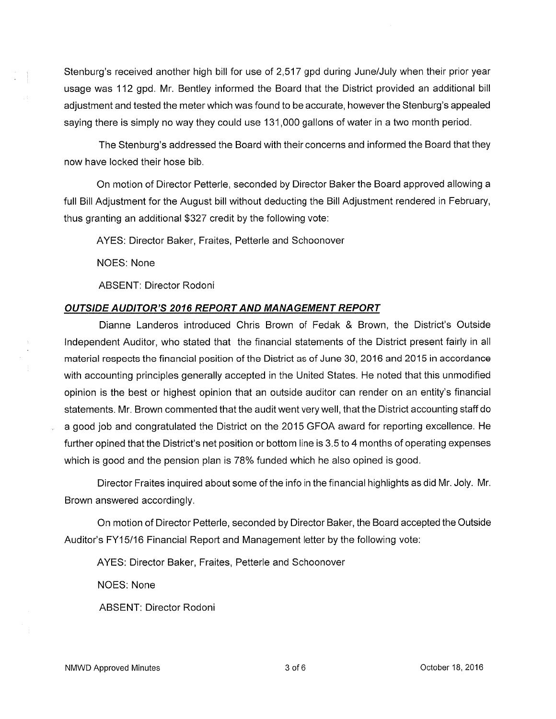Stenburg's received another high bill for use of 2,517 gpd during June/July when their prior year usage was 112 gpd. Mr. Bentley informed the Board that the District provided an additional bill adjustment and tested the meter which was found to be accurate, however the Stenburg's appealed saying there is simply no way they could use 131 ,000 gallons of water in a two month period.

The Stenburg's addressed the Board with their concerns and informed the Board that they now have locked their hose bib.

On motion of Director Petterle, seconded by Director Baker the Board approved allowing a full Bill Adjustment for the August bill without deducting the Bill Adjustment rendered in February, thus granting an additional \$327 credit by the following vote:

AYES: Director Baker, Fraites, Petterle and Schoonover

NOES: None

ABSENT: Director Rodoni

## OUTSIDE AUDITOR'S 2016 REPORT AND MANAGEMENT REPORT

Dianne Landeros introduced Chris Brown of Fedak & Brown, the District's Outside lndependent Auditor, who stated that the financial statements of the District present fairly in all material respects the financial position of the District as of June 30, 2016 and 2015 in accordance with accounting principles generally accepted in the United States. He noted that this unmodified opinion is the best or highest opinion that an outside auditor can render on an entity's financial statements. Mr. Brown commented that the audit went very well, that the District accounting staff do a good job and congratulated the District on the 2015 GFOA award for reporling excellence. He further opined that the District's net position or bottom line is 3.5 to 4 months of operating expenses which is good and the pension plan is 78% funded which he also opined is good.

Director Fraites inquired about some of the info in the financialhighlights as did Mr. Joly. Mr. Brown answered accordingly.

On motion of Director Petterle, seconded by Director Baker, the Board accepted the Outside Auditor's FY15/16 Financial Report and Management letter by the following vote:

AYES: Director Baker, Fraites, Petterle and Schoonover

NOES: None

ABSENT: Director Rodoni

NMWD Approved Minutes and the state of  $\sim$  3 of 6  $\sim$  October 18, 2016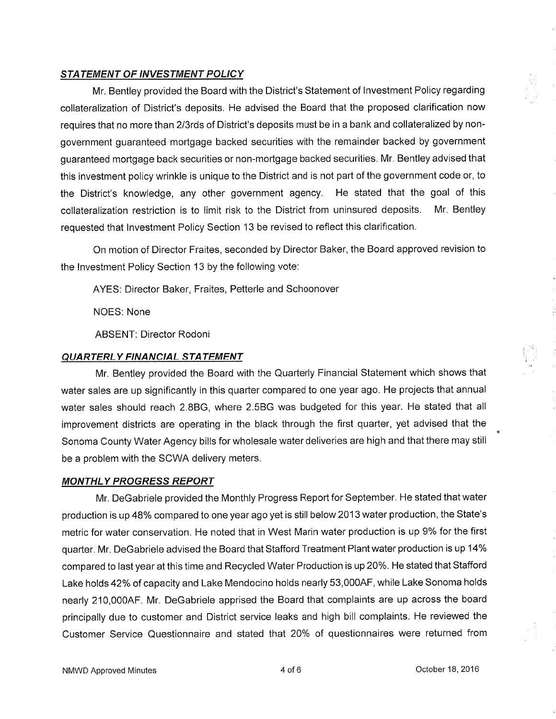# STATEMENT OF INVESTMENT POLICY

Mr. Bentley provided the Board with the District's Statement of lnvestment Policy regarding collateralization of District's deposits. He advised the Board that the proposed clarification now requires that no more than 2/3rds of District's deposits must be in a bank and collateralized by nongovernment guaranteed mortgage backed securities with the remainder backed by government guaranteed mortgage back securities or non-mortgage backed securities. Mr. Bentley advised that this investment policy wrinkle is unique to the District and is not part of the government code or, to the District's knowledge, any other government agency. He stated that the goal of this collateralization restriction is to limit risk to the District from uninsured deposits. Mr. Bentley requested that lnvestment Policy Section 13 be revised to reflect this clarification.

On motion of Director Fraites, seconded by Director Baker, the Board approved revision to the Investment Policy Section 13 by the following vote:

AYES: Director Baker, Fraites, Petterle and Schoonover

NOES: None

ABSENT: Director Rodoni

# QUARTERLY FINANCIAL STATEMENT

Mr. Bentley provided the Board with the Quarterly Financial Statement which shows that water sales are up significantly in this quarter compared to one year ago. He projects that annual water sales should reach 2.8BG, where 2.5BG was budgeted for this year. He stated that all improvement districts are operating in the black through the first quarter, yet advised that the Sonoma County Water Agency bills for wholesale water deliveries are high and that there may still be a problem with the SCWA delivery meters.

# **MONTHLY PROGRESS REPORT**

Mr. DeGabriele provided the Monthly Progress Report for September. He stated that water production is up 48% compared to one year ago yet is still below 2013 water production, the State's metric for water conservation. He noted that in West Marin water production is up 9% for the first quarter. Mr. DeGabriele advised the Board that Stafford Treatment Plant water production is up 14% compared to last year at this time and Recycled Water Production is up 20%. He stated that Stafford Lake holds 42% of capacity and Lake Mendocino holds nearly 53,000AF, while Lake Sonoma holds nearly 210,0004F. Mr. DeGabriele apprised the Board that complaints are up across the board principally due to customer and District service leaks and high bill complaints. He reviewed the Customer Service Questionnaire and stated that 20% of questionnaires were returned from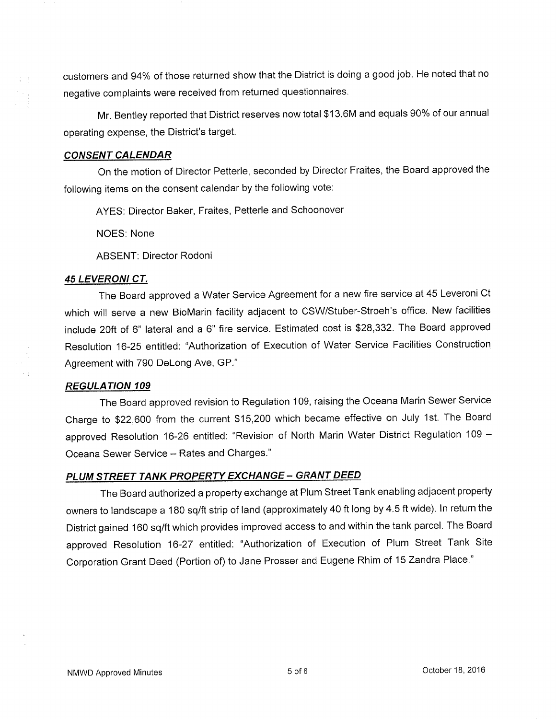customers and 94% of those returned show that the District is doing a good job. He noted that no negative complaints were received from returned questionnaires.

Mr. Bentley reported that District reserves now total \$13.6M and equals 90% of our annual operating expense, the District's target.

# CONSENT CALENDAR

 $\frac{1}{2}$  .  $\frac{1}{2}$ 

On the motion of Director Petterle, seconded by Director Fraites, the Board approved the following items on the consent calendar by the following vote:

AYES: Director Baker, Fraites, Petterle and Schoonover

NOES: None

ABSENT: Director Rodoni

## 45 LEVERONI CT.

The Board approved a Water Service Agreement for a new fire service at 45 Leveroni Ct which will serve a new BioMarin facility adjacent to CSW/Stuber-Stroeh's office. New facilities include 20ft of 6" lateral and a 6" fire service. Estimated cost is \$28,332. The Board approved Resolution 16-25 entitled: "Authorization of Execution of Water Service Facilities Construction Agreement with 790 Delong Ave, GP."

## REGULATION 109

The Board approved revision to Regulation 109, raising the Oceana Marin Sewer Service Charge to 922,600 from the current \$15,200 which became effective on July 1st. The Board approved Resolution 16-26 entitled: "Revision of North Marin Water District Regulation 109 -Oceana Sewer Service - Rates and Charges."

# PLUM STREET TANK PROPERTY EXCHANGE - GRANT DEED

The Board authorized a property exchange at Plum Street Tank enabling adjacent property owners to landscape a 180 sq/ft strip of land (approximately 40 ft long by 4.5 ft wide). ln return the District gained 160 sq/ft which provides improved access to and within the tank parcel. The Board approved Resolution 16-27 entitled: "Authorization of Execution of Plum Street Tank Site Corporation Grant Deed (Portion of) to Jane Prosser and Eugene Rhim of 15 Zandra Place,"